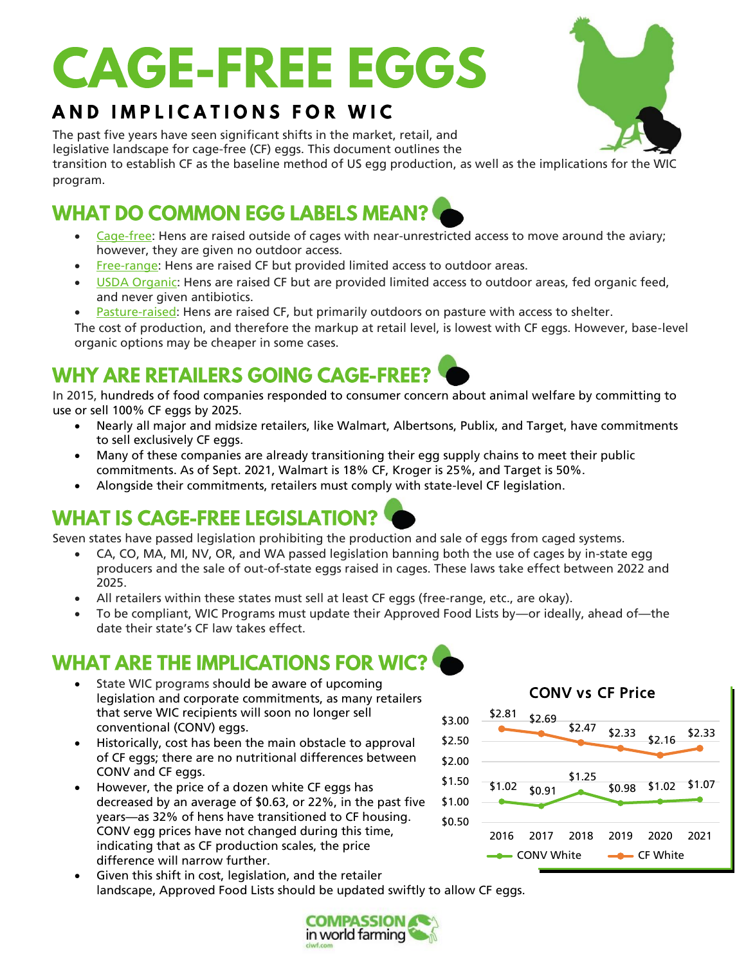# **CAGE-FREE EGGS**

#### AND IMPLICATIONS FOR WIC

The past five years have seen significant shifts in the market, retail, and legislative landscape for cage-free (CF) eggs. This document outlines the transition to establish CF as the baseline method of US egg production, as well as the implications for the WIC program.

#### **WHAT DO COMMON EGG LABELS MEAN?**

- Cage-free: Hens are raised outside of cages with near-unrestricted access to move around the aviary; however, they are given no outdoor access.
- Free-range: Hens are raised CF but provided limited access to outdoor areas.
- USDA Organic: Hens are raised CF but are provided limited access to outdoor areas, fed organic feed, and never given antibiotics.
- Pasture-raised: Hens are raised CF, but primarily outdoors on pasture with access to shelter.
- The cost of production, and therefore the markup at retail level, is lowest with CF eggs. However, base-level organic options may be cheaper in some cases.

### **WHY ARE RETAILERS GOING CAGE-FREE?**

In 2015, hundreds of food companies responded to consumer concern about animal welfare by committing to use or sell 100% CF eggs by 2025.

- Nearly all major and midsize retailers, like Walmart, Albertsons, Publix, and Target, have commitments to sell exclusively CF eggs.
- Many of these companies are already transitioning their egg supply chains to meet their public commitments. As of Sept. 2021, Walmart is 18% CF, Kroger is 25%, and Target is 50%.
- Alongside their commitments, retailers must comply with state-level CF legislation.

### **WHAT IS CAGE-FREE LEGISLATION?**

Seven states have passed legislation prohibiting the production and sale of eggs from caged systems.

- CA, CO, MA, MI, NV, OR, and WA passed legislation banning both the use of cages by in-state egg producers and the sale of out-of-state eggs raised in cages. These laws take effect between 2022 and 2025.
- All retailers within these states must sell at least CF eggs (free-range, etc., are okay).
- To be compliant, WIC Programs must update their Approved Food Lists by—or ideally, ahead of—the date their state's CF law takes effect.

#### **WHAT ARE THE IMPLICATIONS FOR WIC?**

- State WIC programs should be aware of upcoming legislation and corporate commitments, as many retailers that serve WIC recipients will soon no longer sell conventional (CONV) eggs.
- Historically, cost has been the main obstacle to approval of CF eggs; there are no nutritional differences between CONV and CF eggs.
- However, the price of a dozen white CF eggs has decreased by an average of \$0.63, or 22%, in the past five years—as 32% of hens have transitioned to CF housing. CONV egg prices have not changed during this time, indicating that as CF production scales, the price difference will narrow further.
- Given this shift in cost, legislation, and the retailer landscape, Approved Food Lists should be updated swiftly to allow CF eggs.

**COMPASSION** in world farming

#### CONV vs CF Price